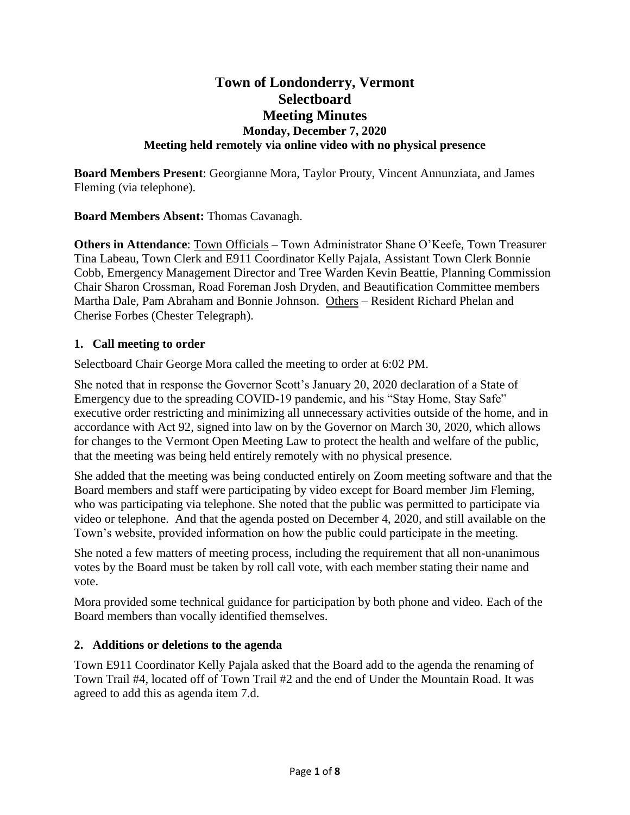# **Town of Londonderry, Vermont Selectboard Meeting Minutes Monday, December 7, 2020 Meeting held remotely via online video with no physical presence**

**Board Members Present**: Georgianne Mora, Taylor Prouty, Vincent Annunziata, and James Fleming (via telephone).

**Board Members Absent:** Thomas Cavanagh.

**Others in Attendance**: Town Officials – Town Administrator Shane O'Keefe, Town Treasurer Tina Labeau, Town Clerk and E911 Coordinator Kelly Pajala, Assistant Town Clerk Bonnie Cobb, Emergency Management Director and Tree Warden Kevin Beattie, Planning Commission Chair Sharon Crossman, Road Foreman Josh Dryden, and Beautification Committee members Martha Dale, Pam Abraham and Bonnie Johnson. Others – Resident Richard Phelan and Cherise Forbes (Chester Telegraph).

# **1. Call meeting to order**

Selectboard Chair George Mora called the meeting to order at 6:02 PM.

She noted that in response the Governor Scott's January 20, 2020 declaration of a State of Emergency due to the spreading COVID-19 pandemic, and his "Stay Home, Stay Safe" executive order restricting and minimizing all unnecessary activities outside of the home, and in accordance with Act 92, signed into law on by the Governor on March 30, 2020, which allows for changes to the Vermont Open Meeting Law to protect the health and welfare of the public, that the meeting was being held entirely remotely with no physical presence.

She added that the meeting was being conducted entirely on Zoom meeting software and that the Board members and staff were participating by video except for Board member Jim Fleming, who was participating via telephone. She noted that the public was permitted to participate via video or telephone. And that the agenda posted on December 4, 2020, and still available on the Town's website, provided information on how the public could participate in the meeting.

She noted a few matters of meeting process, including the requirement that all non-unanimous votes by the Board must be taken by roll call vote, with each member stating their name and vote.

Mora provided some technical guidance for participation by both phone and video. Each of the Board members than vocally identified themselves.

# **2. Additions or deletions to the agenda**

Town E911 Coordinator Kelly Pajala asked that the Board add to the agenda the renaming of Town Trail #4, located off of Town Trail #2 and the end of Under the Mountain Road. It was agreed to add this as agenda item 7.d.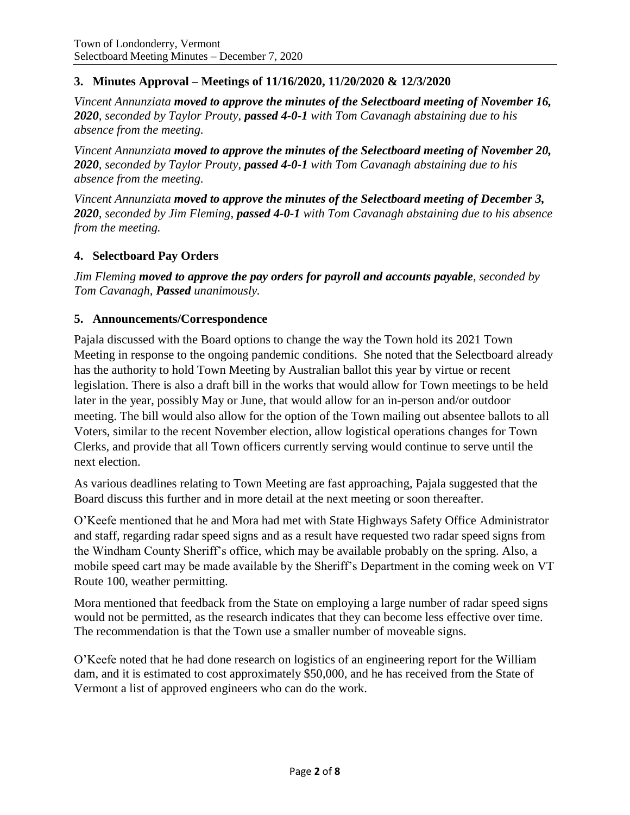# **3. Minutes Approval – Meetings of 11/16/2020, 11/20/2020 & 12/3/2020**

*Vincent Annunziata moved to approve the minutes of the Selectboard meeting of November 16, 2020, seconded by Taylor Prouty, passed 4-0-1 with Tom Cavanagh abstaining due to his absence from the meeting.*

*Vincent Annunziata moved to approve the minutes of the Selectboard meeting of November 20, 2020, seconded by Taylor Prouty, passed 4-0-1 with Tom Cavanagh abstaining due to his absence from the meeting.* 

*Vincent Annunziata moved to approve the minutes of the Selectboard meeting of December 3, 2020, seconded by Jim Fleming, passed 4-0-1 with Tom Cavanagh abstaining due to his absence from the meeting.*

# **4. Selectboard Pay Orders**

*Jim Fleming moved to approve the pay orders for payroll and accounts payable, seconded by Tom Cavanagh, Passed unanimously.*

### **5. Announcements/Correspondence**

Pajala discussed with the Board options to change the way the Town hold its 2021 Town Meeting in response to the ongoing pandemic conditions. She noted that the Selectboard already has the authority to hold Town Meeting by Australian ballot this year by virtue or recent legislation. There is also a draft bill in the works that would allow for Town meetings to be held later in the year, possibly May or June, that would allow for an in-person and/or outdoor meeting. The bill would also allow for the option of the Town mailing out absentee ballots to all Voters, similar to the recent November election, allow logistical operations changes for Town Clerks, and provide that all Town officers currently serving would continue to serve until the next election.

As various deadlines relating to Town Meeting are fast approaching, Pajala suggested that the Board discuss this further and in more detail at the next meeting or soon thereafter.

O'Keefe mentioned that he and Mora had met with State Highways Safety Office Administrator and staff, regarding radar speed signs and as a result have requested two radar speed signs from the Windham County Sheriff's office, which may be available probably on the spring. Also, a mobile speed cart may be made available by the Sheriff's Department in the coming week on VT Route 100, weather permitting.

Mora mentioned that feedback from the State on employing a large number of radar speed signs would not be permitted, as the research indicates that they can become less effective over time. The recommendation is that the Town use a smaller number of moveable signs.

O'Keefe noted that he had done research on logistics of an engineering report for the William dam, and it is estimated to cost approximately \$50,000, and he has received from the State of Vermont a list of approved engineers who can do the work.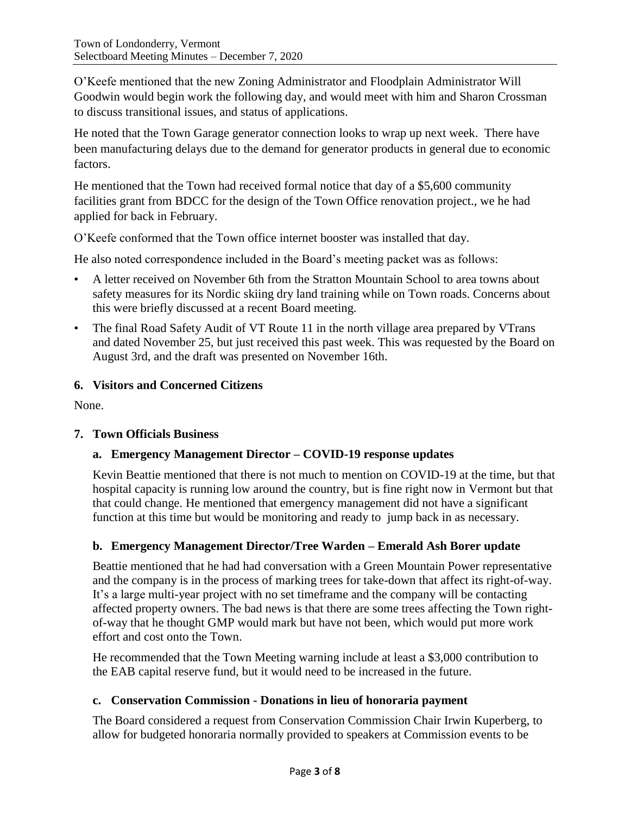O'Keefe mentioned that the new Zoning Administrator and Floodplain Administrator Will Goodwin would begin work the following day, and would meet with him and Sharon Crossman to discuss transitional issues, and status of applications.

He noted that the Town Garage generator connection looks to wrap up next week. There have been manufacturing delays due to the demand for generator products in general due to economic factors.

He mentioned that the Town had received formal notice that day of a \$5,600 community facilities grant from BDCC for the design of the Town Office renovation project., we he had applied for back in February.

O'Keefe conformed that the Town office internet booster was installed that day.

He also noted correspondence included in the Board's meeting packet was as follows:

- A letter received on November 6th from the Stratton Mountain School to area towns about safety measures for its Nordic skiing dry land training while on Town roads. Concerns about this were briefly discussed at a recent Board meeting.
- The final Road Safety Audit of VT Route 11 in the north village area prepared by VTrans and dated November 25, but just received this past week. This was requested by the Board on August 3rd, and the draft was presented on November 16th.

# **6. Visitors and Concerned Citizens**

None.

# **7. Town Officials Business**

# **a. Emergency Management Director – COVID-19 response updates**

Kevin Beattie mentioned that there is not much to mention on COVID-19 at the time, but that hospital capacity is running low around the country, but is fine right now in Vermont but that that could change. He mentioned that emergency management did not have a significant function at this time but would be monitoring and ready to jump back in as necessary.

# **b. Emergency Management Director/Tree Warden – Emerald Ash Borer update**

Beattie mentioned that he had had conversation with a Green Mountain Power representative and the company is in the process of marking trees for take-down that affect its right-of-way. It's a large multi-year project with no set timeframe and the company will be contacting affected property owners. The bad news is that there are some trees affecting the Town rightof-way that he thought GMP would mark but have not been, which would put more work effort and cost onto the Town.

He recommended that the Town Meeting warning include at least a \$3,000 contribution to the EAB capital reserve fund, but it would need to be increased in the future.

# **c. Conservation Commission - Donations in lieu of honoraria payment**

The Board considered a request from Conservation Commission Chair Irwin Kuperberg, to allow for budgeted honoraria normally provided to speakers at Commission events to be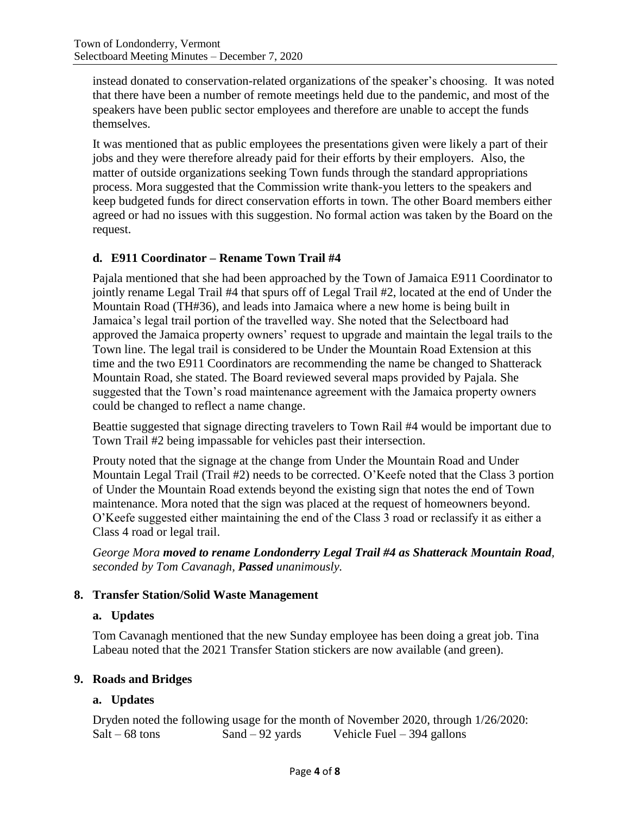instead donated to conservation-related organizations of the speaker's choosing. It was noted that there have been a number of remote meetings held due to the pandemic, and most of the speakers have been public sector employees and therefore are unable to accept the funds themselves.

It was mentioned that as public employees the presentations given were likely a part of their jobs and they were therefore already paid for their efforts by their employers. Also, the matter of outside organizations seeking Town funds through the standard appropriations process. Mora suggested that the Commission write thank-you letters to the speakers and keep budgeted funds for direct conservation efforts in town. The other Board members either agreed or had no issues with this suggestion. No formal action was taken by the Board on the request.

# **d. E911 Coordinator – Rename Town Trail #4**

Pajala mentioned that she had been approached by the Town of Jamaica E911 Coordinator to jointly rename Legal Trail #4 that spurs off of Legal Trail #2, located at the end of Under the Mountain Road (TH#36), and leads into Jamaica where a new home is being built in Jamaica's legal trail portion of the travelled way. She noted that the Selectboard had approved the Jamaica property owners' request to upgrade and maintain the legal trails to the Town line. The legal trail is considered to be Under the Mountain Road Extension at this time and the two E911 Coordinators are recommending the name be changed to Shatterack Mountain Road, she stated. The Board reviewed several maps provided by Pajala. She suggested that the Town's road maintenance agreement with the Jamaica property owners could be changed to reflect a name change.

Beattie suggested that signage directing travelers to Town Rail #4 would be important due to Town Trail #2 being impassable for vehicles past their intersection.

Prouty noted that the signage at the change from Under the Mountain Road and Under Mountain Legal Trail (Trail #2) needs to be corrected. O'Keefe noted that the Class 3 portion of Under the Mountain Road extends beyond the existing sign that notes the end of Town maintenance. Mora noted that the sign was placed at the request of homeowners beyond. O'Keefe suggested either maintaining the end of the Class 3 road or reclassify it as either a Class 4 road or legal trail.

*George Mora moved to rename Londonderry Legal Trail #4 as Shatterack Mountain Road, seconded by Tom Cavanagh, Passed unanimously.*

# **8. Transfer Station/Solid Waste Management**

# **a. Updates**

Tom Cavanagh mentioned that the new Sunday employee has been doing a great job. Tina Labeau noted that the 2021 Transfer Station stickers are now available (and green).

# **9. Roads and Bridges**

# **a. Updates**

Dryden noted the following usage for the month of November 2020, through 1/26/2020:  $Salt - 68$  tons  $Sand - 92$  yards Vehicle Fuel – 394 gallons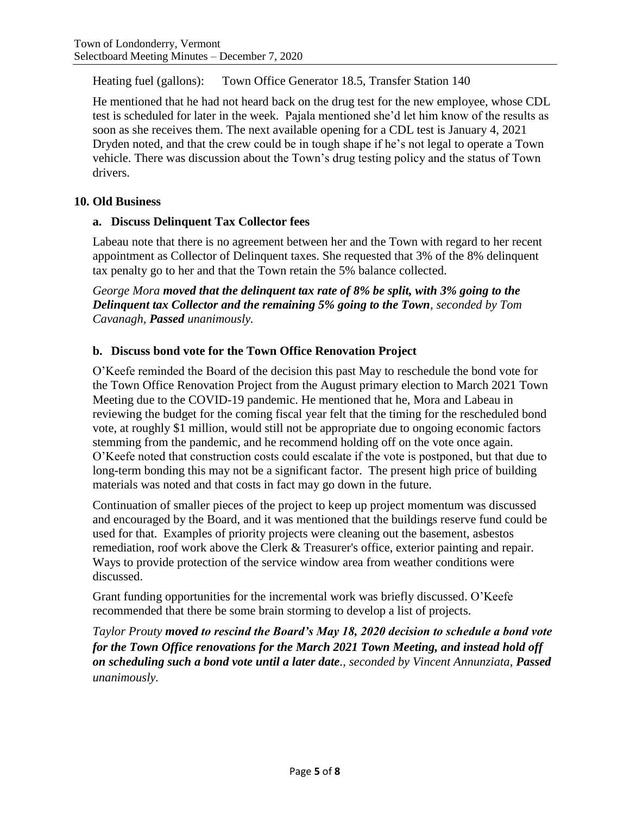Heating fuel (gallons): Town Office Generator 18.5, Transfer Station 140

He mentioned that he had not heard back on the drug test for the new employee, whose CDL test is scheduled for later in the week. Pajala mentioned she'd let him know of the results as soon as she receives them. The next available opening for a CDL test is January 4, 2021 Dryden noted, and that the crew could be in tough shape if he's not legal to operate a Town vehicle. There was discussion about the Town's drug testing policy and the status of Town drivers.

# **10. Old Business**

# **a. Discuss Delinquent Tax Collector fees**

Labeau note that there is no agreement between her and the Town with regard to her recent appointment as Collector of Delinquent taxes. She requested that 3% of the 8% delinquent tax penalty go to her and that the Town retain the 5% balance collected.

*George Mora moved that the delinquent tax rate of 8% be split, with 3% going to the Delinquent tax Collector and the remaining 5% going to the Town, seconded by Tom Cavanagh, Passed unanimously.*

# **b. Discuss bond vote for the Town Office Renovation Project**

O'Keefe reminded the Board of the decision this past May to reschedule the bond vote for the Town Office Renovation Project from the August primary election to March 2021 Town Meeting due to the COVID-19 pandemic. He mentioned that he, Mora and Labeau in reviewing the budget for the coming fiscal year felt that the timing for the rescheduled bond vote, at roughly \$1 million, would still not be appropriate due to ongoing economic factors stemming from the pandemic, and he recommend holding off on the vote once again. O'Keefe noted that construction costs could escalate if the vote is postponed, but that due to long-term bonding this may not be a significant factor. The present high price of building materials was noted and that costs in fact may go down in the future.

Continuation of smaller pieces of the project to keep up project momentum was discussed and encouraged by the Board, and it was mentioned that the buildings reserve fund could be used for that. Examples of priority projects were cleaning out the basement, asbestos remediation, roof work above the Clerk & Treasurer's office, exterior painting and repair. Ways to provide protection of the service window area from weather conditions were discussed.

Grant funding opportunities for the incremental work was briefly discussed. O'Keefe recommended that there be some brain storming to develop a list of projects.

*Taylor Prouty moved to rescind the Board's May 18, 2020 decision to schedule a bond vote for the Town Office renovations for the March 2021 Town Meeting, and instead hold off on scheduling such a bond vote until a later date., seconded by Vincent Annunziata, Passed unanimously.*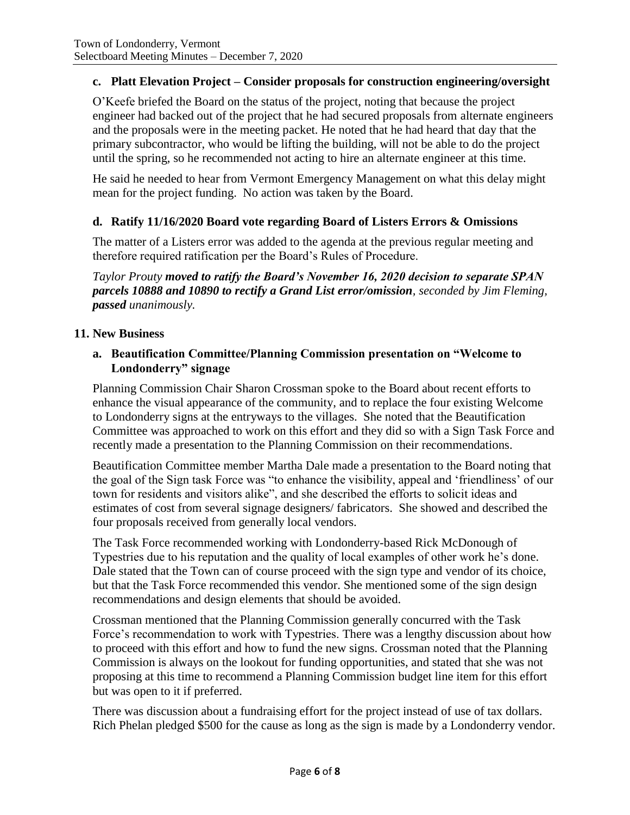# **c. Platt Elevation Project – Consider proposals for construction engineering/oversight**

O'Keefe briefed the Board on the status of the project, noting that because the project engineer had backed out of the project that he had secured proposals from alternate engineers and the proposals were in the meeting packet. He noted that he had heard that day that the primary subcontractor, who would be lifting the building, will not be able to do the project until the spring, so he recommended not acting to hire an alternate engineer at this time.

He said he needed to hear from Vermont Emergency Management on what this delay might mean for the project funding. No action was taken by the Board.

# **d. Ratify 11/16/2020 Board vote regarding Board of Listers Errors & Omissions**

The matter of a Listers error was added to the agenda at the previous regular meeting and therefore required ratification per the Board's Rules of Procedure.

*Taylor Prouty moved to ratify the Board's November 16, 2020 decision to separate SPAN parcels 10888 and 10890 to rectify a Grand List error/omission, seconded by Jim Fleming, passed unanimously.*

# **11. New Business**

### **a. Beautification Committee/Planning Commission presentation on "Welcome to Londonderry" signage**

Planning Commission Chair Sharon Crossman spoke to the Board about recent efforts to enhance the visual appearance of the community, and to replace the four existing Welcome to Londonderry signs at the entryways to the villages. She noted that the Beautification Committee was approached to work on this effort and they did so with a Sign Task Force and recently made a presentation to the Planning Commission on their recommendations.

Beautification Committee member Martha Dale made a presentation to the Board noting that the goal of the Sign task Force was "to enhance the visibility, appeal and 'friendliness' of our town for residents and visitors alike", and she described the efforts to solicit ideas and estimates of cost from several signage designers/ fabricators. She showed and described the four proposals received from generally local vendors.

The Task Force recommended working with Londonderry-based Rick McDonough of Typestries due to his reputation and the quality of local examples of other work he's done. Dale stated that the Town can of course proceed with the sign type and vendor of its choice, but that the Task Force recommended this vendor. She mentioned some of the sign design recommendations and design elements that should be avoided.

Crossman mentioned that the Planning Commission generally concurred with the Task Force's recommendation to work with Typestries. There was a lengthy discussion about how to proceed with this effort and how to fund the new signs. Crossman noted that the Planning Commission is always on the lookout for funding opportunities, and stated that she was not proposing at this time to recommend a Planning Commission budget line item for this effort but was open to it if preferred.

There was discussion about a fundraising effort for the project instead of use of tax dollars. Rich Phelan pledged \$500 for the cause as long as the sign is made by a Londonderry vendor.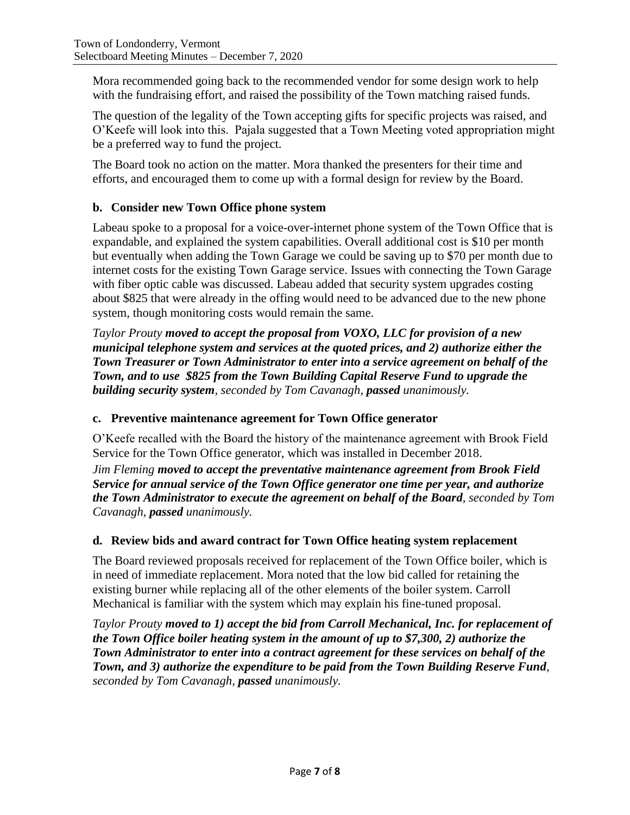Mora recommended going back to the recommended vendor for some design work to help with the fundraising effort, and raised the possibility of the Town matching raised funds.

The question of the legality of the Town accepting gifts for specific projects was raised, and O'Keefe will look into this. Pajala suggested that a Town Meeting voted appropriation might be a preferred way to fund the project.

The Board took no action on the matter. Mora thanked the presenters for their time and efforts, and encouraged them to come up with a formal design for review by the Board.

# **b. Consider new Town Office phone system**

Labeau spoke to a proposal for a voice-over-internet phone system of the Town Office that is expandable, and explained the system capabilities. Overall additional cost is \$10 per month but eventually when adding the Town Garage we could be saving up to \$70 per month due to internet costs for the existing Town Garage service. Issues with connecting the Town Garage with fiber optic cable was discussed. Labeau added that security system upgrades costing about \$825 that were already in the offing would need to be advanced due to the new phone system, though monitoring costs would remain the same.

*Taylor Prouty moved to accept the proposal from VOXO, LLC for provision of a new municipal telephone system and services at the quoted prices, and 2) authorize either the Town Treasurer or Town Administrator to enter into a service agreement on behalf of the Town, and to use \$825 from the Town Building Capital Reserve Fund to upgrade the building security system, seconded by Tom Cavanagh, passed unanimously.*

# **c. Preventive maintenance agreement for Town Office generator**

O'Keefe recalled with the Board the history of the maintenance agreement with Brook Field Service for the Town Office generator, which was installed in December 2018.

*Jim Fleming moved to accept the preventative maintenance agreement from Brook Field Service for annual service of the Town Office generator one time per year, and authorize the Town Administrator to execute the agreement on behalf of the Board, seconded by Tom Cavanagh, passed unanimously.*

# **d. Review bids and award contract for Town Office heating system replacement**

The Board reviewed proposals received for replacement of the Town Office boiler, which is in need of immediate replacement. Mora noted that the low bid called for retaining the existing burner while replacing all of the other elements of the boiler system. Carroll Mechanical is familiar with the system which may explain his fine-tuned proposal.

*Taylor Prouty moved to 1) accept the bid from Carroll Mechanical, Inc. for replacement of the Town Office boiler heating system in the amount of up to \$7,300, 2) authorize the Town Administrator to enter into a contract agreement for these services on behalf of the Town, and 3) authorize the expenditure to be paid from the Town Building Reserve Fund, seconded by Tom Cavanagh, passed unanimously.*